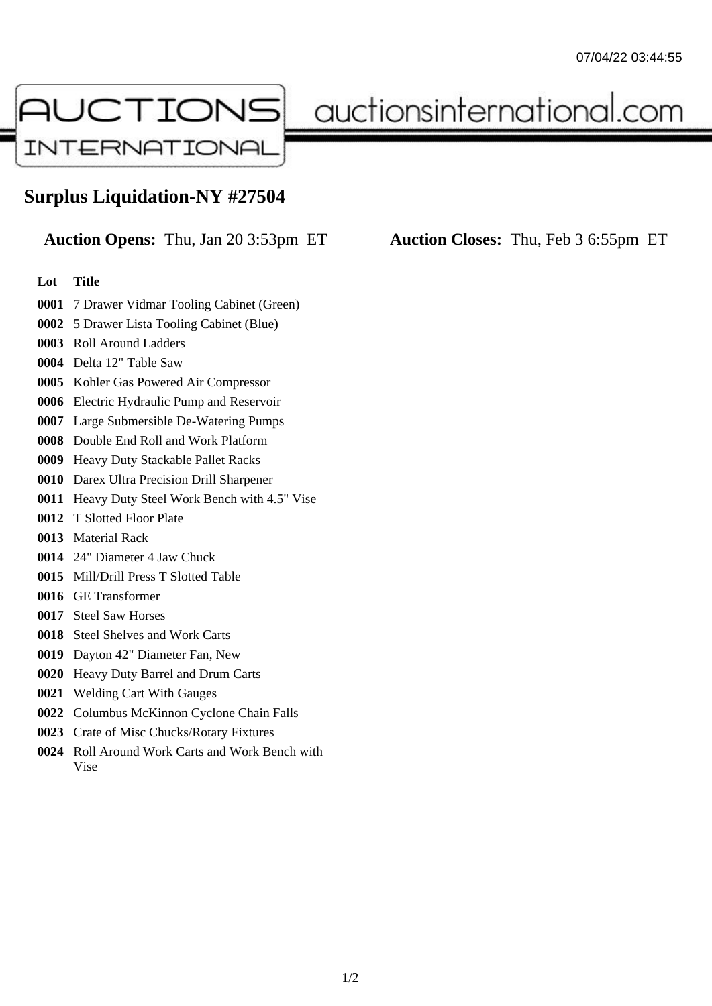

## auctionsinternational.com

## **Surplus Liquidation-NY #27504**

**Auction Opens:** Thu, Jan 20 3:53pm ET **Auction Closes:** Thu, Feb 3 6:55pm ET

## **Lot Title**

- 7 Drawer Vidmar Tooling Cabinet (Green)
- 5 Drawer Lista Tooling Cabinet (Blue)
- Roll Around Ladders
- Delta 12" Table Saw
- Kohler Gas Powered Air Compressor
- Electric Hydraulic Pump and Reservoir
- Large Submersible De-Watering Pumps
- Double End Roll and Work Platform
- Heavy Duty Stackable Pallet Racks
- Darex Ultra Precision Drill Sharpener
- Heavy Duty Steel Work Bench with 4.5" Vise
- T Slotted Floor Plate
- Material Rack
- 24" Diameter 4 Jaw Chuck
- Mill/Drill Press T Slotted Table
- GE Transformer
- Steel Saw Horses
- Steel Shelves and Work Carts
- Dayton 42" Diameter Fan, New
- Heavy Duty Barrel and Drum Carts
- Welding Cart With Gauges
- Columbus McKinnon Cyclone Chain Falls
- Crate of Misc Chucks/Rotary Fixtures
- Roll Around Work Carts and Work Bench with Vise